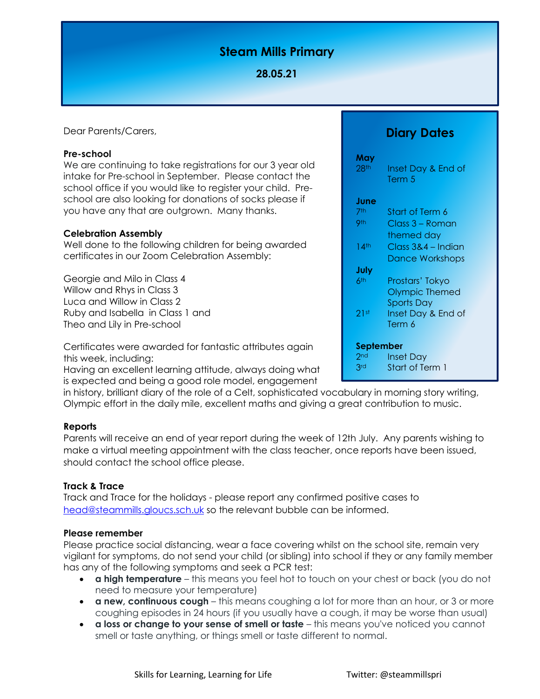# **Steam Mills Primary**

# **28.05.21**

Dear Parents/Carers,

#### **Pre-school**

We are continuing to take registrations for our 3 year old intake for Pre-school in September. Please contact the school office if you would like to register your child. Preschool are also looking for donations of socks please if you have any that are outgrown. Many thanks.

#### **Celebration Assembly**

Well done to the following children for being awarded certificates in our Zoom Celebration Assembly:

Georgie and Milo in Class 4 Willow and Rhys in Class 3 Luca and Willow in Class 2 Ruby and Isabella in Class 1 and Theo and Lily in Pre-school

Certificates were awarded for fantastic attributes again this week, including:

Having an excellent learning attitude, always doing what is expected and being a good role model, engagement

in history, brilliant diary of the role of a Celt, sophisticated vocabulary in morning story writing, Olympic effort in the daily mile, excellent maths and giving a great contribution to music.

## **Reports**

Parents will receive an end of year report during the week of 12th July. Any parents wishing to make a virtual meeting appointment with the class teacher, once reports have been issued, should contact the school office please.

## **Track & Trace**

Track and Trace for the holidays - please report any confirmed positive cases to [head@steammills.gloucs.sch.uk](mailto:head@steammills.gloucs.sch.uk) so the relevant bubble can be informed.

## **Please remember**

Please practice social distancing, wear a face covering whilst on the school site, remain very vigilant for symptoms, do not send your child (or sibling) into school if they or any family member has any of the following symptoms and seek a PCR test:

- **a high temperature** this means you feel hot to touch on your chest or back (you do not need to measure your temperature)
- **a new, continuous cough** this means coughing a lot for more than an hour, or 3 or more coughing episodes in 24 hours (if you usually have a cough, it may be worse than usual)
- **a loss or change to your sense of smell or taste** this means you've noticed you cannot smell or taste anything, or things smell or taste different to normal.

| May<br>28 <sup>th</sup> | Inset Day & End of<br>Term 5 |
|-------------------------|------------------------------|
| June                    |                              |
| 7th                     | Start of Term 6              |
| 9th                     | Class 3 – Roman              |
|                         | themed day                   |
| 14 <sup>th</sup>        | Class 3&4 – Indian           |
|                         | <b>Dance Workshops</b>       |
| July                    |                              |
| 6th                     | Prostars' Tokyo              |
|                         | <b>Olympic Themed</b>        |
|                         | <b>Sports Day</b>            |
| 21st                    | Inset Day & End of           |
|                         | Term 6                       |
|                         |                              |
| September               |                              |
| 2 <sub>nd</sub>         | Inset Day                    |
| 3rd                     | Start of Term 1              |

**Diary Dates**